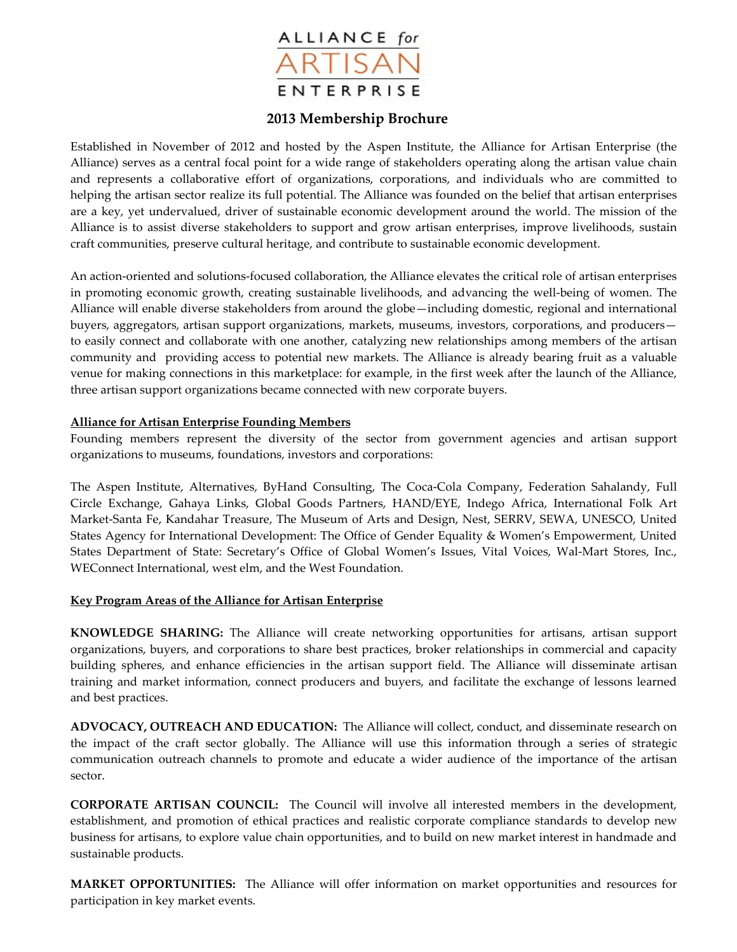

# **2013 Membership Brochure**

Established in November of 2012 and hosted by the Aspen Institute, the Alliance for Artisan Enterprise (the Alliance) serves as a central focal point for a wide range of stakeholders operating along the artisan value chain and represents a collaborative effort of organizations, corporations, and individuals who are committed to helping the artisan sector realize its full potential. The Alliance was founded on the belief that artisan enterprises are a key, yet undervalued, driver of sustainable economic development around the world. The mission of the Alliance is to assist diverse stakeholders to support and grow artisan enterprises, improve livelihoods, sustain craft communities, preserve cultural heritage, and contribute to sustainable economic development.

An action-oriented and solutions-focused collaboration, the Alliance elevates the critical role of artisan enterprises in promoting economic growth, creating sustainable livelihoods, and advancing the well-being of women. The Alliance will enable diverse stakeholders from around the globe—including domestic, regional and international buyers, aggregators, artisan support organizations, markets, museums, investors, corporations, and producers to easily connect and collaborate with one another, catalyzing new relationships among members of the artisan community and providing access to potential new markets. The Alliance is already bearing fruit as a valuable venue for making connections in this marketplace: for example, in the first week after the launch of the Alliance, three artisan support organizations became connected with new corporate buyers.

#### **Alliance for Artisan Enterprise Founding Members**

Founding members represent the diversity of the sector from government agencies and artisan support organizations to museums, foundations, investors and corporations:

The Aspen Institute, Alternatives, ByHand Consulting, The Coca-Cola Company, Federation Sahalandy, Full Circle Exchange, Gahaya Links, Global Goods Partners, HAND/EYE, Indego Africa, International Folk Art Market-Santa Fe, Kandahar Treasure, The Museum of Arts and Design, Nest, SERRV, SEWA, UNESCO, United States Agency for International Development: The Office of Gender Equality & Women's Empowerment, United States Department of State: Secretary's Office of Global Women's Issues, Vital Voices, Wal-Mart Stores, Inc., WEConnect International, west elm, and the West Foundation.

### **Key Program Areas of the Alliance for Artisan Enterprise**

**KNOWLEDGE SHARING:** The Alliance will create networking opportunities for artisans, artisan support organizations, buyers, and corporations to share best practices, broker relationships in commercial and capacity building spheres, and enhance efficiencies in the artisan support field. The Alliance will disseminate artisan training and market information, connect producers and buyers, and facilitate the exchange of lessons learned and best practices.

**ADVOCACY, OUTREACH AND EDUCATION:** The Alliance will collect, conduct, and disseminate research on the impact of the craft sector globally. The Alliance will use this information through a series of strategic communication outreach channels to promote and educate a wider audience of the importance of the artisan sector.

**CORPORATE ARTISAN COUNCIL:** The Council will involve all interested members in the development, establishment, and promotion of ethical practices and realistic corporate compliance standards to develop new business for artisans, to explore value chain opportunities, and to build on new market interest in handmade and sustainable products.

**MARKET OPPORTUNITIES:** The Alliance will offer information on market opportunities and resources for participation in key market events.